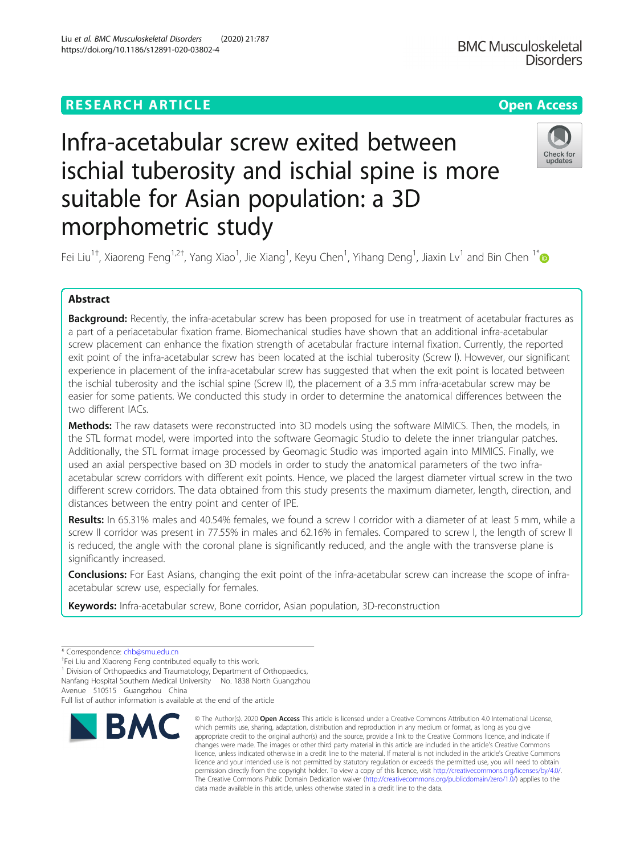https://doi.org/10.1186/s12891-020-03802-4

Liu et al. BMC Musculoskeletal Disorders (2020) 21:787

# Infra-acetabular screw exited between ischial tuberosity and ischial spine is more suitable for Asian population: a 3D morphometric study



Fei Liu<sup>1†</sup>, Xiaoreng Feng<sup>1,2†</sup>, Yang Xiao<sup>1</sup>, Jie Xiang<sup>1</sup>, Keyu Chen<sup>1</sup>, Yihang Deng<sup>1</sup>, Jiaxin Lv<sup>1</sup> and Bin Chen <sup>1[\\*](http://orcid.org/0000-0002-6869-1843)</sup>

# Abstract

**Background:** Recently, the infra-acetabular screw has been proposed for use in treatment of acetabular fractures as a part of a periacetabular fixation frame. Biomechanical studies have shown that an additional infra-acetabular screw placement can enhance the fixation strength of acetabular fracture internal fixation. Currently, the reported exit point of the infra-acetabular screw has been located at the ischial tuberosity (Screw I). However, our significant experience in placement of the infra-acetabular screw has suggested that when the exit point is located between the ischial tuberosity and the ischial spine (Screw II), the placement of a 3.5 mm infra-acetabular screw may be easier for some patients. We conducted this study in order to determine the anatomical differences between the two different IACs.

Methods: The raw datasets were reconstructed into 3D models using the software MIMICS. Then, the models, in the STL format model, were imported into the software Geomagic Studio to delete the inner triangular patches. Additionally, the STL format image processed by Geomagic Studio was imported again into MIMICS. Finally, we used an axial perspective based on 3D models in order to study the anatomical parameters of the two infraacetabular screw corridors with different exit points. Hence, we placed the largest diameter virtual screw in the two different screw corridors. The data obtained from this study presents the maximum diameter, length, direction, and distances between the entry point and center of IPE.

Results: In 65.31% males and 40.54% females, we found a screw I corridor with a diameter of at least 5 mm, while a screw II corridor was present in 77.55% in males and 62.16% in females. Compared to screw I, the length of screw II is reduced, the angle with the coronal plane is significantly reduced, and the angle with the transverse plane is significantly increased.

**Conclusions:** For East Asians, changing the exit point of the infra-acetabular screw can increase the scope of infraacetabular screw use, especially for females.

Keywords: Infra-acetabular screw, Bone corridor, Asian population, 3D-reconstruction

Full list of author information is available at the end of the article



<sup>©</sup> The Author(s), 2020 **Open Access** This article is licensed under a Creative Commons Attribution 4.0 International License, which permits use, sharing, adaptation, distribution and reproduction in any medium or format, as long as you give appropriate credit to the original author(s) and the source, provide a link to the Creative Commons licence, and indicate if changes were made. The images or other third party material in this article are included in the article's Creative Commons licence, unless indicated otherwise in a credit line to the material. If material is not included in the article's Creative Commons licence and your intended use is not permitted by statutory regulation or exceeds the permitted use, you will need to obtain permission directly from the copyright holder. To view a copy of this licence, visit [http://creativecommons.org/licenses/by/4.0/.](http://creativecommons.org/licenses/by/4.0/) The Creative Commons Public Domain Dedication waiver [\(http://creativecommons.org/publicdomain/zero/1.0/](http://creativecommons.org/publicdomain/zero/1.0/)) applies to the data made available in this article, unless otherwise stated in a credit line to the data.

<sup>\*</sup> Correspondence: [chb@smu.edu.cn](mailto:chb@smu.edu.cn) †

<sup>&</sup>lt;sup>+</sup>Fei Liu and Xiaoreng Feng contributed equally to this work.

<sup>&</sup>lt;sup>1</sup> Division of Orthopaedics and Traumatology, Department of Orthopaedics, Nanfang Hospital Southern Medical University No. 1838 North Guangzhou Avenue 510515 Guangzhou China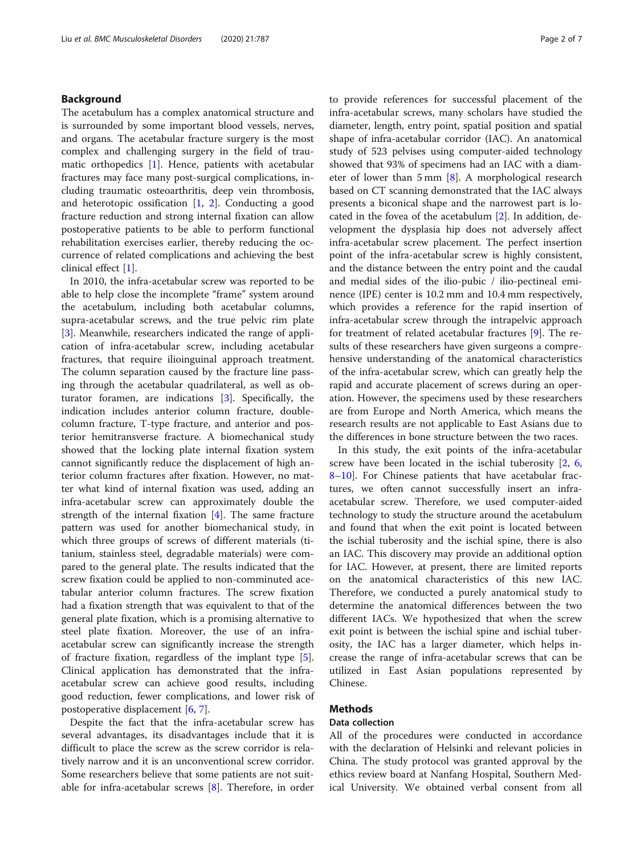# Background

The acetabulum has a complex anatomical structure and is surrounded by some important blood vessels, nerves, and organs. The acetabular fracture surgery is the most complex and challenging surgery in the field of traumatic orthopedics [\[1](#page-6-0)]. Hence, patients with acetabular fractures may face many post-surgical complications, including traumatic osteoarthritis, deep vein thrombosis, and heterotopic ossification [[1](#page-6-0), [2](#page-6-0)]. Conducting a good fracture reduction and strong internal fixation can allow postoperative patients to be able to perform functional rehabilitation exercises earlier, thereby reducing the occurrence of related complications and achieving the best clinical effect [[1\]](#page-6-0).

In 2010, the infra-acetabular screw was reported to be able to help close the incomplete "frame" system around the acetabulum, including both acetabular columns, supra-acetabular screws, and the true pelvic rim plate [[3\]](#page-6-0). Meanwhile, researchers indicated the range of application of infra-acetabular screw, including acetabular fractures, that require ilioinguinal approach treatment. The column separation caused by the fracture line passing through the acetabular quadrilateral, as well as obturator foramen, are indications [\[3](#page-6-0)]. Specifically, the indication includes anterior column fracture, doublecolumn fracture, T-type fracture, and anterior and posterior hemitransverse fracture. A biomechanical study showed that the locking plate internal fixation system cannot significantly reduce the displacement of high anterior column fractures after fixation. However, no matter what kind of internal fixation was used, adding an infra-acetabular screw can approximately double the strength of the internal fixation  $[4]$  $[4]$ . The same fracture pattern was used for another biomechanical study, in which three groups of screws of different materials (titanium, stainless steel, degradable materials) were compared to the general plate. The results indicated that the screw fixation could be applied to non-comminuted acetabular anterior column fractures. The screw fixation had a fixation strength that was equivalent to that of the general plate fixation, which is a promising alternative to steel plate fixation. Moreover, the use of an infraacetabular screw can significantly increase the strength of fracture fixation, regardless of the implant type [\[5](#page-6-0)]. Clinical application has demonstrated that the infraacetabular screw can achieve good results, including good reduction, fewer complications, and lower risk of postoperative displacement [\[6](#page-6-0), [7](#page-6-0)].

Despite the fact that the infra-acetabular screw has several advantages, its disadvantages include that it is difficult to place the screw as the screw corridor is relatively narrow and it is an unconventional screw corridor. Some researchers believe that some patients are not suitable for infra-acetabular screws  $[8]$  $[8]$ . Therefore, in order to provide references for successful placement of the infra-acetabular screws, many scholars have studied the diameter, length, entry point, spatial position and spatial shape of infra-acetabular corridor (IAC). An anatomical study of 523 pelvises using computer-aided technology showed that 93% of specimens had an IAC with a diameter of lower than 5 mm [\[8](#page-6-0)]. A morphological research based on CT scanning demonstrated that the IAC always presents a biconical shape and the narrowest part is located in the fovea of the acetabulum [\[2](#page-6-0)]. In addition, development the dysplasia hip does not adversely affect infra-acetabular screw placement. The perfect insertion point of the infra-acetabular screw is highly consistent, and the distance between the entry point and the caudal and medial sides of the ilio-pubic / ilio-pectineal eminence (IPE) center is 10.2 mm and 10.4 mm respectively, which provides a reference for the rapid insertion of infra-acetabular screw through the intrapelvic approach for treatment of related acetabular fractures [[9](#page-6-0)]. The results of these researchers have given surgeons a comprehensive understanding of the anatomical characteristics of the infra-acetabular screw, which can greatly help the rapid and accurate placement of screws during an operation. However, the specimens used by these researchers are from Europe and North America, which means the research results are not applicable to East Asians due to the differences in bone structure between the two races.

In this study, the exit points of the infra-acetabular screw have been located in the ischial tuberosity [\[2](#page-6-0), [6](#page-6-0), [8](#page-6-0)–[10](#page-6-0)]. For Chinese patients that have acetabular fractures, we often cannot successfully insert an infraacetabular screw. Therefore, we used computer-aided technology to study the structure around the acetabulum and found that when the exit point is located between the ischial tuberosity and the ischial spine, there is also an IAC. This discovery may provide an additional option for IAC. However, at present, there are limited reports on the anatomical characteristics of this new IAC. Therefore, we conducted a purely anatomical study to determine the anatomical differences between the two different IACs. We hypothesized that when the screw exit point is between the ischial spine and ischial tuberosity, the IAC has a larger diameter, which helps increase the range of infra-acetabular screws that can be utilized in East Asian populations represented by Chinese.

# Methods

# Data collection

All of the procedures were conducted in accordance with the declaration of Helsinki and relevant policies in China. The study protocol was granted approval by the ethics review board at Nanfang Hospital, Southern Medical University. We obtained verbal consent from all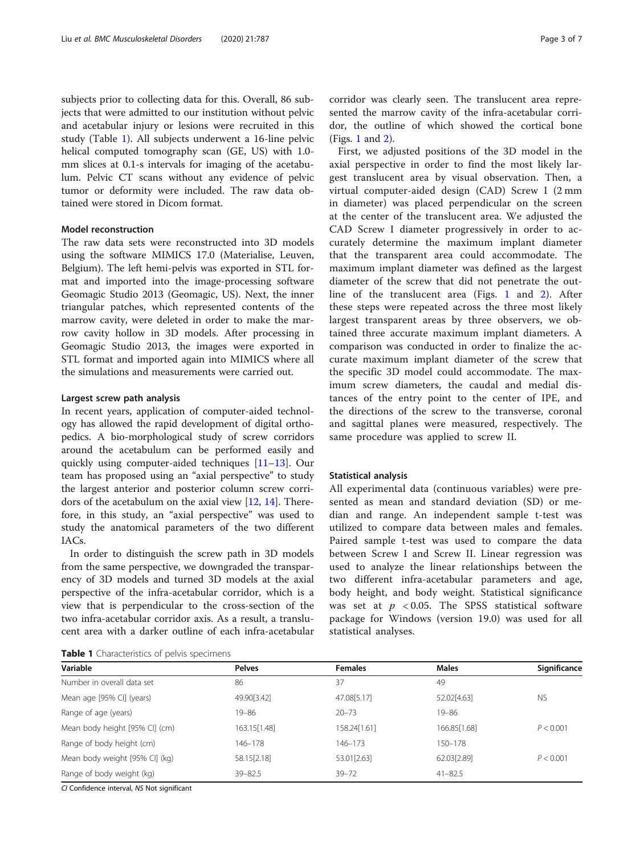subjects prior to collecting data for this. Overall, 86 subjects that were admitted to our institution without pelvic and acetabular injury or lesions were recruited in this study (Table 1). All subjects underwent a 16-line pelvic helical computed tomography scan (GE, US) with 1.0 mm slices at 0.1-s intervals for imaging of the acetabulum. Pelvic CT scans without any evidence of pelvic tumor or deformity were included. The raw data obtained were stored in Dicom format.

# Model reconstruction

The raw data sets were reconstructed into 3D models using the software MIMICS 17.0 (Materialise, Leuven, Belgium). The left hemi-pelvis was exported in STL format and imported into the image-processing software Geomagic Studio 2013 (Geomagic, US). Next, the inner triangular patches, which represented contents of the marrow cavity, were deleted in order to make the marrow cavity hollow in 3D models. After processing in Geomagic Studio 2013, the images were exported in STL format and imported again into MIMICS where all the simulations and measurements were carried out.

#### Largest screw path analysis

In recent years, application of computer-aided technology has allowed the rapid development of digital orthopedics. A bio-morphological study of screw corridors around the acetabulum can be performed easily and quickly using computer-aided techniques [\[11](#page-6-0)–[13\]](#page-6-0). Our team has proposed using an "axial perspective" to study the largest anterior and posterior column screw corridors of the acetabulum on the axial view [[12](#page-6-0), [14](#page-6-0)]. Therefore, in this study, an "axial perspective" was used to study the anatomical parameters of the two different  $IACs$ 

In order to distinguish the screw path in 3D models from the same perspective, we downgraded the transparency of 3D models and turned 3D models at the axial perspective of the infra-acetabular corridor, which is a view that is perpendicular to the cross-section of the two infra-acetabular corridor axis. As a result, a translucent area with a darker outline of each infra-acetabular corridor was clearly seen. The translucent area represented the marrow cavity of the infra-acetabular corridor, the outline of which showed the cortical bone  $(Figs. 1$  $(Figs. 1$  and  $2)$ .

First, we adjusted positions of the 3D model in the axial perspective in order to find the most likely largest translucent area by visual observation. Then, a virtual computer-aided design (CAD) Screw I (2 mm in diameter) was placed perpendicular on the screen at the center of the translucent area. We adjusted the CAD Screw I diameter progressively in order to accurately determine the maximum implant diameter that the transparent area could accommodate. The maximum implant diameter was defined as the largest diameter of the screw that did not penetrate the outline of the translucent area (Figs. [1](#page-3-0) and [2](#page-3-0)). After these steps were repeated across the three most likely largest transparent areas by three observers, we obtained three accurate maximum implant diameters. A comparison was conducted in order to finalize the accurate maximum implant diameter of the screw that the specific 3D model could accommodate. The maximum screw diameters, the caudal and medial distances of the entry point to the center of IPE, and the directions of the screw to the transverse, coronal and sagittal planes were measured, respectively. The same procedure was applied to screw II.

### Statistical analysis

All experimental data (continuous variables) were presented as mean and standard deviation (SD) or median and range. An independent sample t-test was utilized to compare data between males and females. Paired sample t-test was used to compare the data between Screw I and Screw II. Linear regression was used to analyze the linear relationships between the two different infra-acetabular parameters and age, body height, and body weight. Statistical significance was set at  $p < 0.05$ . The SPSS statistical software package for Windows (version 19.0) was used for all statistical analyses.

Table 1 Characteristics of pelvis specimens

| Variable                       | <b>Pelves</b> | <b>Females</b> | <b>Males</b> | Significance |  |
|--------------------------------|---------------|----------------|--------------|--------------|--|
| Number in overall data set     | 86            | 37             | 49           |              |  |
| Mean age [95% CI] (years)      | 49.90[3.42]   | 47.08[5.17]    | 52.02[4.63]  | <b>NS</b>    |  |
| Range of age (years)           | $19 - 86$     | $20 - 73$      | $19 - 86$    |              |  |
| Mean body height [95% CI] (cm) | 163.15[1.48]  | 158.24[1.61]   | 166.85[1.68] | P < 0.001    |  |
| Range of body height (cm)      | 146–178       | 146–173        | 150-178      |              |  |
| Mean body weight [95% CI] (kg) | 58.15[2.18]   | 53.01 [2.63]   | 62.03[2.89]  | P < 0.001    |  |
| Range of body weight (kg)      | $39 - 82.5$   | $39 - 72$      | $41 - 82.5$  |              |  |

CI Confidence interval, NS Not significant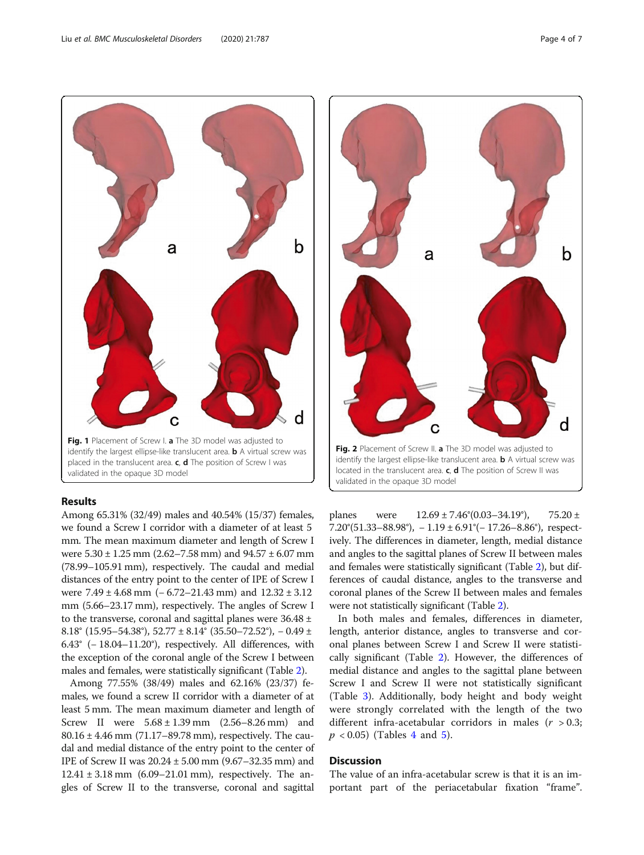<span id="page-3-0"></span>

# Results

Among 65.31% (32/49) males and 40.54% (15/37) females, we found a Screw I corridor with a diameter of at least 5 mm. The mean maximum diameter and length of Screw I were 5.30 ± 1.25 mm (2.62–7.58 mm) and 94.57 ± 6.07 mm (78.99–105.91 mm), respectively. The caudal and medial distances of the entry point to the center of IPE of Screw I were 7.49 ± 4.68 mm (− 6.72–21.43 mm) and 12.32 ± 3.12 mm (5.66–23.17 mm), respectively. The angles of Screw I to the transverse, coronal and sagittal planes were 36.48 ± 8.18° (15.95–54.38°), 52.77 ± 8.14° (35.50–72.52°), - 0.49 ± 6.43° (− 18.04–11.20°), respectively. All differences, with the exception of the coronal angle of the Screw I between males and females, were statistically significant (Table [2\)](#page-4-0).

Among 77.55% (38/49) males and 62.16% (23/37) females, we found a screw II corridor with a diameter of at least 5 mm. The mean maximum diameter and length of Screw II were  $5.68 \pm 1.39$  mm  $(2.56 - 8.26$  mm) and 80.16 ± 4.46 mm (71.17–89.78 mm), respectively. The caudal and medial distance of the entry point to the center of IPE of Screw II was 20.24 ± 5.00 mm (9.67–32.35 mm) and  $12.41 \pm 3.18 \text{ mm}$  (6.09–21.01 mm), respectively. The angles of Screw II to the transverse, coronal and sagittal



validated in the opaque 3D model

planes were  $12.69 \pm 7.46^{\circ}(0.03 - 34.19^{\circ})$ ,  $75.20 \pm$  $7.20^{\circ}$ (51.33–88.98°), -1.19 ± 6.91°(-17.26–8.86°), respectively. The differences in diameter, length, medial distance and angles to the sagittal planes of Screw II between males and females were statistically significant (Table [2](#page-4-0)), but differences of caudal distance, angles to the transverse and coronal planes of the Screw II between males and females were not statistically significant (Table [2](#page-4-0)).

In both males and females, differences in diameter, length, anterior distance, angles to transverse and coronal planes between Screw I and Screw II were statistically significant (Table [2](#page-4-0)). However, the differences of medial distance and angles to the sagittal plane between Screw I and Screw II were not statistically significant (Table [3\)](#page-4-0). Additionally, body height and body weight were strongly correlated with the length of the two different infra-acetabular corridors in males  $(r > 0.3;$  $p < 0.05$  $p < 0.05$ ) (Tables [4](#page-5-0) and 5).

# **Discussion**

The value of an infra-acetabular screw is that it is an important part of the periacetabular fixation "frame".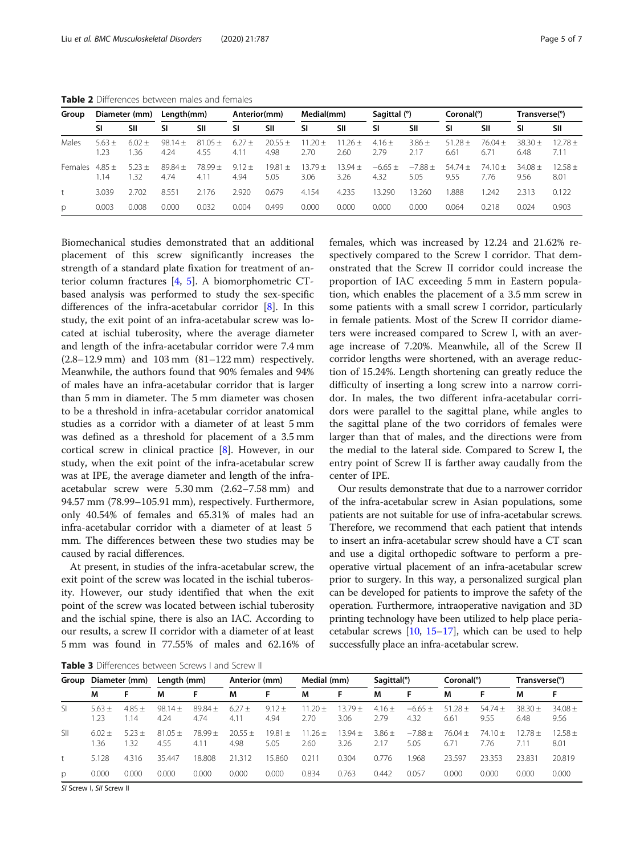| Group   | Diameter (mm)    |                | Length(mm)        |                   | Anterior(mm)     |                   | Medial(mm)              |                     | Sagittal (°)        |                   | Coronal(°)        |                   | Transverse(°)       |                   |
|---------|------------------|----------------|-------------------|-------------------|------------------|-------------------|-------------------------|---------------------|---------------------|-------------------|-------------------|-------------------|---------------------|-------------------|
|         | SI               | SII            | SI                | SII               | SI               | SII               | SI                      | SII                 | SI                  | SII               | SI                | SII               | SI                  | SII               |
| Males   | $5.63 +$<br>1.23 | $602 +$<br>.36 | $98.14 +$<br>4.24 | $81.05 +$<br>4.55 | $6.27 +$<br>4.1  | $20.55 +$<br>4.98 | 1 2 0<br>$^{+}$<br>2.70 | $26 +$<br>2.60      | $4.16 +$<br>2.79    | $3.86 +$<br>2.17  | $51.28 +$<br>6.61 | $76.04 +$<br>6.7  | $38.30 \pm$<br>6.48 | $12.78 +$<br>7.11 |
| Females | $4.85 +$<br>l.14 | $523 +$<br>-32 | $89.84 +$<br>4.74 | $78.99 +$<br>4.11 | $9.12 +$<br>4.94 | 19.81 ±<br>5.05   | $13.79 +$<br>3.06       | $13.94 \pm$<br>3.26 | $-6.65 \pm$<br>4.32 | $-7.88 +$<br>5.05 | $54.74 +$<br>9.55 | $74.10 +$<br>7.76 | $34.08 +$<br>9.56   | $1258 +$<br>8.01  |
|         | 3.039            | 2.702          | 8.551             | 2.176             | 2.920            | 0.679             | 4.154                   | 4.235               | 13.290              | 13.260            | .888              | .242              | 2.313               | 0.122             |
| p       | 0.003            | 0.008          | 0.000             | 0.032             | 0.004            | 0.499             | 0.000                   | 0.000               | 0.000               | 0.000             | 0.064             | 0.218             | 0.024               | 0.903             |

<span id="page-4-0"></span>Table 2 Differences between males and females

Biomechanical studies demonstrated that an additional placement of this screw significantly increases the strength of a standard plate fixation for treatment of anterior column fractures [\[4](#page-6-0), [5](#page-6-0)]. A biomorphometric CTbased analysis was performed to study the sex-specific differences of the infra-acetabular corridor [[8\]](#page-6-0). In this study, the exit point of an infra-acetabular screw was located at ischial tuberosity, where the average diameter and length of the infra-acetabular corridor were 7.4 mm (2.8–12.9 mm) and 103 mm (81–122 mm) respectively. Meanwhile, the authors found that 90% females and 94% of males have an infra-acetabular corridor that is larger than 5 mm in diameter. The 5 mm diameter was chosen to be a threshold in infra-acetabular corridor anatomical studies as a corridor with a diameter of at least 5 mm was defined as a threshold for placement of a 3.5 mm cortical screw in clinical practice [[8\]](#page-6-0). However, in our study, when the exit point of the infra-acetabular screw was at IPE, the average diameter and length of the infraacetabular screw were 5.30 mm (2.62–7.58 mm) and 94.57 mm (78.99–105.91 mm), respectively. Furthermore, only 40.54% of females and 65.31% of males had an infra-acetabular corridor with a diameter of at least 5 mm. The differences between these two studies may be caused by racial differences.

At present, in studies of the infra-acetabular screw, the exit point of the screw was located in the ischial tuberosity. However, our study identified that when the exit point of the screw was located between ischial tuberosity and the ischial spine, there is also an IAC. According to our results, a screw II corridor with a diameter of at least 5 mm was found in 77.55% of males and 62.16% of females, which was increased by 12.24 and 21.62% respectively compared to the Screw I corridor. That demonstrated that the Screw II corridor could increase the proportion of IAC exceeding 5 mm in Eastern population, which enables the placement of a 3.5 mm screw in some patients with a small screw I corridor, particularly in female patients. Most of the Screw II corridor diameters were increased compared to Screw I, with an average increase of 7.20%. Meanwhile, all of the Screw II corridor lengths were shortened, with an average reduction of 15.24%. Length shortening can greatly reduce the difficulty of inserting a long screw into a narrow corridor. In males, the two different infra-acetabular corridors were parallel to the sagittal plane, while angles to the sagittal plane of the two corridors of females were larger than that of males, and the directions were from the medial to the lateral side. Compared to Screw I, the entry point of Screw II is farther away caudally from the center of IPE.

Our results demonstrate that due to a narrower corridor of the infra-acetabular screw in Asian populations, some patients are not suitable for use of infra-acetabular screws. Therefore, we recommend that each patient that intends to insert an infra-acetabular screw should have a CT scan and use a digital orthopedic software to perform a preoperative virtual placement of an infra-acetabular screw prior to surgery. In this way, a personalized surgical plan can be developed for patients to improve the safety of the operation. Furthermore, intraoperative navigation and 3D printing technology have been utilized to help place periacetabular screws  $[10, 15-17]$  $[10, 15-17]$  $[10, 15-17]$  $[10, 15-17]$  $[10, 15-17]$  $[10, 15-17]$  $[10, 15-17]$ , which can be used to help successfully place an infra-acetabular screw.

**Table 3** Differences between Screws Land Screw II

| Group      | Diameter (mm)    |                  | Length (mm)       |                            | Anterior (mm)     |                     | Medial (mm)       |                     | Sagittal(°)        |                   | Coronal(°)        |                   | Transverse(°)       |                   |
|------------|------------------|------------------|-------------------|----------------------------|-------------------|---------------------|-------------------|---------------------|--------------------|-------------------|-------------------|-------------------|---------------------|-------------------|
|            | М                | F                | М                 | F                          | M                 | F                   | M                 | F                   | M                  | F                 | М                 | F                 | М                   |                   |
| -SI.       | $5.63 +$<br>1.23 | $4.85 +$<br>l.14 | $98.14 +$<br>4.24 | $89.84 +$<br>4.74          | $6.27 +$<br>4.11  | $9.12 +$<br>4.94    | $1120+$<br>2.70   | $1379 +$<br>3.06    | $4.16 \pm$<br>2.79 | $-6.65+$<br>4.32  | $51.28 +$<br>6.61 | $54.74 +$<br>9.55 | $38.30 \pm$<br>6.48 | $34.08 +$<br>9.56 |
| <b>SII</b> | $6.02 +$<br>1.36 | $523 +$<br>1.32  | $8105 +$<br>4.55  | $78.99 +$<br>$4.1^{\circ}$ | $20.55 +$<br>4.98 | 19.81 $\pm$<br>5.05 | $11.26 +$<br>2.60 | $13.94 \pm$<br>3.26 | $3.86 +$<br>2.17   | $-7.88 +$<br>5.05 | $76.04 +$<br>6.71 | $74.10 +$<br>7.76 | $12.78 +$<br>7.11   | $12.58 +$<br>8.01 |
| t          | 5.128            | 4.316            | 35.447            | 18.808                     | 21.312            | 15.860              | 0.211             | 0.304               | 0.776              | .968              | 23.597            | 23.353            | 23.831              | 20.819            |
| D          | 0.000            | 0.000            | 0.000             | 0.000                      | 0.000             | 0.000               | 0.834             | 0.763               | 0.442              | 0.057             | 0.000             | 0.000             | 0.000               | 0.000             |

SI Screw I, SII Screw II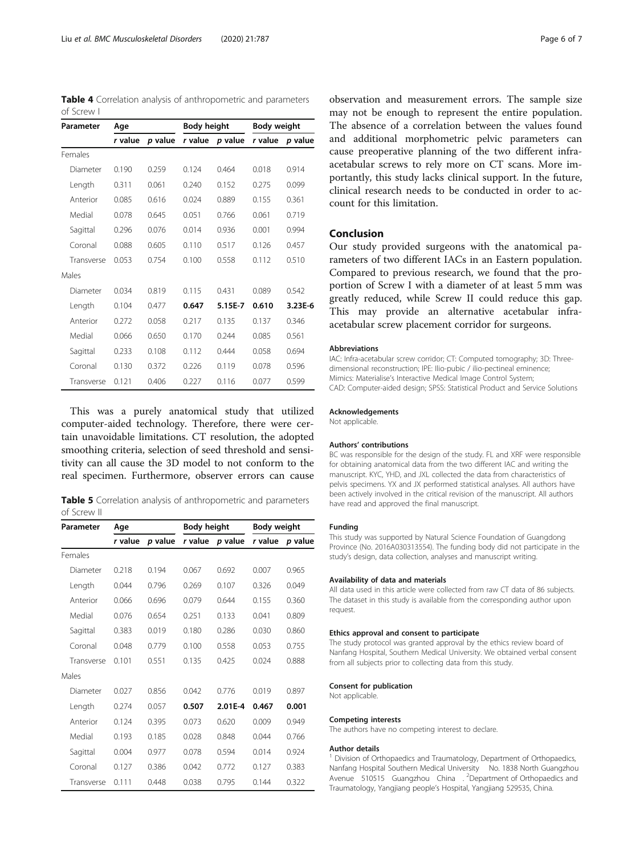<span id="page-5-0"></span>Table 4 Correlation analysis of anthropometric and parameters of Screw I

| Parameter  | Age            |         | <b>Body height</b> |         | <b>Body weight</b> |         |  |
|------------|----------------|---------|--------------------|---------|--------------------|---------|--|
|            | r value        | p value | r value            | p value | r value            | p value |  |
| Females    |                |         |                    |         |                    |         |  |
| Diameter   | 0.190          | 0.259   | 0.124              | 0.464   | 0.018              | 0.914   |  |
| Length     | 0.311          | 0.061   | 0.240              | 0.152   | 0.275              | 0.099   |  |
| Anterior   | 0.085          | 0.616   | 0.024              | 0.889   | 0.155              | 0.361   |  |
| Medial     | 0.078          | 0.645   | 0.051              | 0.766   | 0.061              | 0.719   |  |
| Sagittal   | 0.296          | 0.076   | 0.014              | 0.936   | 0.001              | 0.994   |  |
| Coronal    | 0.088          | 0.605   | 0.110              | 0.517   | 0.126              | 0.457   |  |
| Transverse | 0.053          | 0.754   | 0.100              | 0.558   | 0.112              | 0.510   |  |
| Males      |                |         |                    |         |                    |         |  |
| Diameter   | 0.034          | 0.819   | 0.115              | 0.431   | 0.089              | 0.542   |  |
| Length     | 0.104          | 0.477   | 0.647              | 5.15E-7 | 0.610              | 3.23E-6 |  |
| Anterior   | 0.272          | 0.058   | 0.217              | 0.135   | 0.137              | 0.346   |  |
| Medial     | 0.066          |         | 0.170              | 0.244   | 0.085              | 0.561   |  |
| Sagittal   | 0.233<br>0.108 |         | 0.112              | 0.444   | 0.058              | 0.694   |  |
| Coronal    | 0.130          | 0.372   | 0.226              | 0.119   | 0.078              | 0.596   |  |
| Transverse | 0.121          | 0.406   | 0.227              | 0.116   | 0.077              | 0.599   |  |

This was a purely anatomical study that utilized computer-aided technology. Therefore, there were certain unavoidable limitations. CT resolution, the adopted smoothing criteria, selection of seed threshold and sensitivity can all cause the 3D model to not conform to the real specimen. Furthermore, observer errors can cause

Table 5 Correlation analysis of anthropometric and parameters of Screw II

| Parameter  | Age     |         | <b>Body height</b> |           | <b>Body weight</b> |         |  |
|------------|---------|---------|--------------------|-----------|--------------------|---------|--|
|            | r value | p value | r value            | p value   | r value            | p value |  |
| Females    |         |         |                    |           |                    |         |  |
| Diameter   | 0.218   | 0.194   | 0.067              | 0.692     | 0.007              | 0.965   |  |
| Length     | 0.044   | 0.796   | 0.269              | 0.107     | 0.326              | 0.049   |  |
| Anterior   | 0.066   | 0.696   | 0.079              | 0.644     | 0.155              | 0.360   |  |
| Medial     | 0.076   | 0.654   | 0.251              | 0.133     | 0.041              | 0.809   |  |
| Sagittal   | 0.383   | 0.019   | 0.180              | 0.286     | 0.030              | 0.860   |  |
| Coronal    | 0.048   | 0.779   | 0.100              | 0.558     | 0.053              | 0.755   |  |
| Transverse | 0.101   | 0.551   | 0.135              | 0.425     | 0.024              | 0.888   |  |
| Males      |         |         |                    |           |                    |         |  |
| Diameter   | 0.027   | 0.856   | 0.042              | 0.776     | 0.019              | 0.897   |  |
| Length     | 0.274   | 0.057   | 0.507              | $2.01E-4$ | 0.467              | 0.001   |  |
| Anterior   | 0.124   | 0.395   | 0.073              | 0.620     | 0.009              | 0.949   |  |
| Medial     | 0.193   | 0.185   | 0.028              | 0.848     | 0.044              | 0.766   |  |
| Sagittal   | 0.004   | 0.977   | 0.078              | 0.594     | 0.014              | 0.924   |  |
| Coronal    | 0.127   | 0.386   | 0.042              | 0.772     | 0.127              | 0.383   |  |
| Transverse | 0.111   | 0.448   | 0.038              | 0.795     | 0.144              | 0.322   |  |

observation and measurement errors. The sample size may not be enough to represent the entire population. The absence of a correlation between the values found and additional morphometric pelvic parameters can cause preoperative planning of the two different infraacetabular screws to rely more on CT scans. More importantly, this study lacks clinical support. In the future, clinical research needs to be conducted in order to account for this limitation.

# Conclusion

Our study provided surgeons with the anatomical parameters of two different IACs in an Eastern population. Compared to previous research, we found that the proportion of Screw I with a diameter of at least 5 mm was greatly reduced, while Screw II could reduce this gap. This may provide an alternative acetabular infraacetabular screw placement corridor for surgeons.

#### Abbreviations

IAC: Infra-acetabular screw corridor; CT: Computed tomography; 3D: Threedimensional reconstruction; IPE: Ilio-pubic / ilio-pectineal eminence; Mimics: Materialise's Interactive Medical Image Control System; CAD: Computer-aided design; SPSS: Statistical Product and Service Solutions

#### Acknowledgements

Not applicable.

#### Authors' contributions

BC was responsible for the design of the study. FL and XRF were responsible for obtaining anatomical data from the two different IAC and writing the manuscript. KYC, YHD, and JXL collected the data from characteristics of pelvis specimens. YX and JX performed statistical analyses. All authors have been actively involved in the critical revision of the manuscript. All authors have read and approved the final manuscript.

#### Funding

This study was supported by Natural Science Foundation of Guangdong Province (No. 2016A030313554). The funding body did not participate in the study's design, data collection, analyses and manuscript writing.

#### Availability of data and materials

All data used in this article were collected from raw CT data of 86 subjects. The dataset in this study is available from the corresponding author upon request.

#### Ethics approval and consent to participate

The study protocol was granted approval by the ethics review board of Nanfang Hospital, Southern Medical University. We obtained verbal consent from all subjects prior to collecting data from this study.

#### Consent for publication

Not applicable.

#### Competing interests

The authors have no competing interest to declare.

#### Author details

<sup>1</sup> Division of Orthopaedics and Traumatology, Department of Orthopaedics, Nanfang Hospital Southern Medical University No. 1838 North Guangzhou Avenue 510515 Guangzhou China .<sup>2</sup> Department of Orthopaedics and Traumatology, Yangjiang people's Hospital, Yangjiang 529535, China.